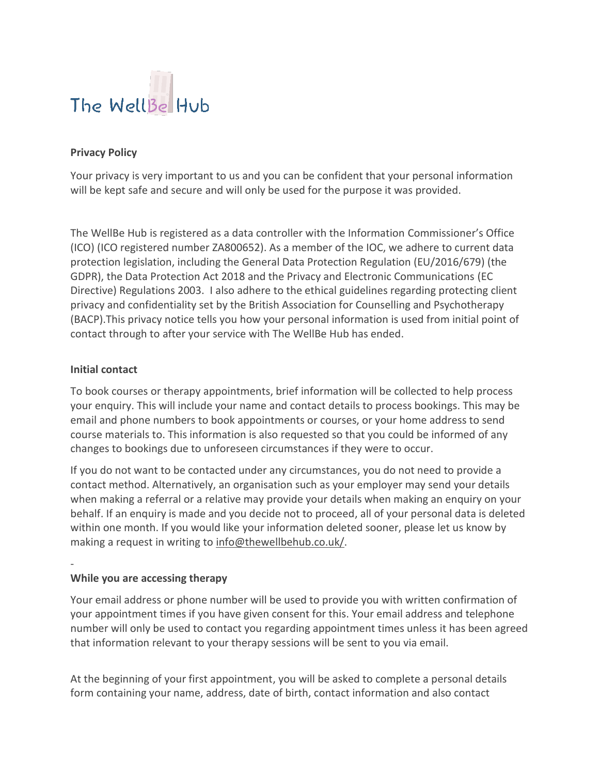

## **Privacy Policy**

Your privacy is very important to us and you can be confident that your personal information will be kept safe and secure and will only be used for the purpose it was provided.

The WellBe Hub is registered as a data controller with the Information Commissioner's Office (ICO) (ICO registered number ZA800652). As a member of the IOC, we adhere to current data protection legislation, including the General Data Protection Regulation (EU/2016/679) (the GDPR), the Data Protection Act 2018 and the Privacy and Electronic Communications (EC Directive) Regulations 2003. I also adhere to the ethical guidelines regarding protecting client privacy and confidentiality set by the British Association for Counselling and Psychotherapy (BACP).This privacy notice tells you how your personal information is used from initial point of contact through to after your service with The WellBe Hub has ended.

### **Initial contact**

-

To book courses or therapy appointments, brief information will be collected to help process your enquiry. This will include your name and contact details to process bookings. This may be email and phone numbers to book appointments or courses, or your home address to send course materials to. This information is also requested so that you could be informed of any changes to bookings due to unforeseen circumstances if they were to occur.

If you do not want to be contacted under any circumstances, you do not need to provide a contact method. Alternatively, an organisation such as your employer may send your details when making a referral or a relative may provide your details when making an enquiry on your behalf. If an enquiry is made and you decide not to proceed, all of your personal data is deleted within one month. If you would like your information deleted sooner, please let us know by making a request in writing to [info@thewellbehub.co.uk/.](mailto:info@thewellbehub.co.uk/)

### **While you are accessing therapy**

Your email address or phone number will be used to provide you with written confirmation of your appointment times if you have given consent for this. Your email address and telephone number will only be used to contact you regarding appointment times unless it has been agreed that information relevant to your therapy sessions will be sent to you via email.

At the beginning of your first appointment, you will be asked to complete a personal details form containing your name, address, date of birth, contact information and also contact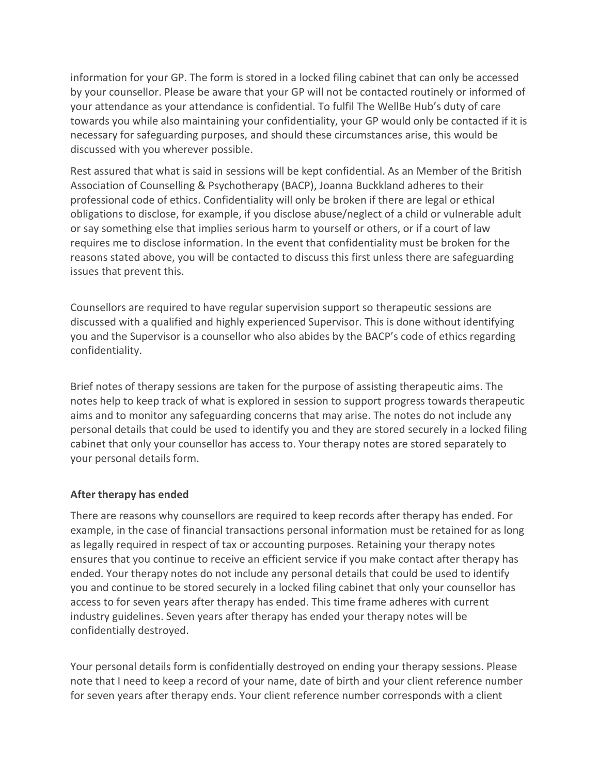information for your GP. The form is stored in a locked filing cabinet that can only be accessed by your counsellor. Please be aware that your GP will not be contacted routinely or informed of your attendance as your attendance is confidential. To fulfil The WellBe Hub's duty of care towards you while also maintaining your confidentiality, your GP would only be contacted if it is necessary for safeguarding purposes, and should these circumstances arise, this would be discussed with you wherever possible.

Rest assured that what is said in sessions will be kept confidential. As an Member of the British Association of Counselling & Psychotherapy (BACP), Joanna Buckkland adheres to their professional code of ethics. Confidentiality will only be broken if there are legal or ethical obligations to disclose, for example, if you disclose abuse/neglect of a child or vulnerable adult or say something else that implies serious harm to yourself or others, or if a court of law requires me to disclose information. In the event that confidentiality must be broken for the reasons stated above, you will be contacted to discuss this first unless there are safeguarding issues that prevent this.

Counsellors are required to have regular supervision support so therapeutic sessions are discussed with a qualified and highly experienced Supervisor. This is done without identifying you and the Supervisor is a counsellor who also abides by the BACP's code of ethics regarding confidentiality.

Brief notes of therapy sessions are taken for the purpose of assisting therapeutic aims. The notes help to keep track of what is explored in session to support progress towards therapeutic aims and to monitor any safeguarding concerns that may arise. The notes do not include any personal details that could be used to identify you and they are stored securely in a locked filing cabinet that only your counsellor has access to. Your therapy notes are stored separately to your personal details form.

# **After therapy has ended**

There are reasons why counsellors are required to keep records after therapy has ended. For example, in the case of financial transactions personal information must be retained for as long as legally required in respect of tax or accounting purposes. Retaining your therapy notes ensures that you continue to receive an efficient service if you make contact after therapy has ended. Your therapy notes do not include any personal details that could be used to identify you and continue to be stored securely in a locked filing cabinet that only your counsellor has access to for seven years after therapy has ended. This time frame adheres with current industry guidelines. Seven years after therapy has ended your therapy notes will be confidentially destroyed.

Your personal details form is confidentially destroyed on ending your therapy sessions. Please note that I need to keep a record of your name, date of birth and your client reference number for seven years after therapy ends. Your client reference number corresponds with a client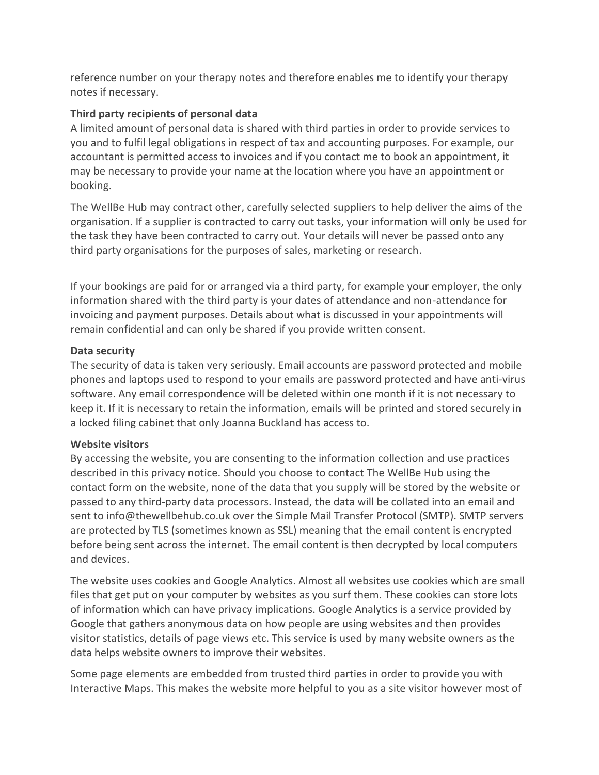reference number on your therapy notes and therefore enables me to identify your therapy notes if necessary.

# **Third party recipients of personal data**

A limited amount of personal data is shared with third parties in order to provide services to you and to fulfil legal obligations in respect of tax and accounting purposes. For example, our accountant is permitted access to invoices and if you contact me to book an appointment, it may be necessary to provide your name at the location where you have an appointment or booking.

The WellBe Hub may contract other, carefully selected suppliers to help deliver the aims of the organisation. If a supplier is contracted to carry out tasks, your information will only be used for the task they have been contracted to carry out. Your details will never be passed onto any third party organisations for the purposes of sales, marketing or research.

If your bookings are paid for or arranged via a third party, for example your employer, the only information shared with the third party is your dates of attendance and non-attendance for invoicing and payment purposes. Details about what is discussed in your appointments will remain confidential and can only be shared if you provide written consent.

# **Data security**

The security of data is taken very seriously. Email accounts are password protected and mobile phones and laptops used to respond to your emails are password protected and have anti-virus software. Any email correspondence will be deleted within one month if it is not necessary to keep it. If it is necessary to retain the information, emails will be printed and stored securely in a locked filing cabinet that only Joanna Buckland has access to.

# **Website visitors**

By accessing the website, you are consenting to the information collection and use practices described in this privacy notice. Should you choose to contact The WellBe Hub using the contact form on the website, none of the data that you supply will be stored by the website or passed to any third-party data processors. Instead, the data will be collated into an email and sent to info@thewellbehub.co.uk over the Simple Mail Transfer Protocol (SMTP). SMTP servers are protected by TLS (sometimes known as SSL) meaning that the email content is encrypted before being sent across the internet. The email content is then decrypted by local computers and devices.

The website uses cookies and Google Analytics. Almost all websites use cookies which are small files that get put on your computer by websites as you surf them. These cookies can store lots of information which can have privacy implications. Google Analytics is a service provided by Google that gathers anonymous data on how people are using websites and then provides visitor statistics, details of page views etc. This service is used by many website owners as the data helps website owners to improve their websites.

Some page elements are embedded from trusted third parties in order to provide you with Interactive Maps. This makes the website more helpful to you as a site visitor however most of